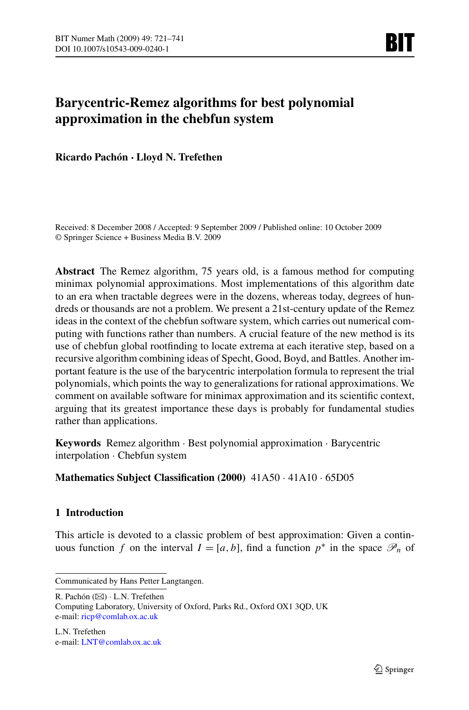# **Barycentric-Remez algorithms for best polynomial approximation in the chebfun system**

**Ricardo Pachón · Lloyd N. Trefethen**

Received: 8 December 2008 / Accepted: 9 September 2009 / Published online: 10 October 2009 © Springer Science + Business Media B.V. 2009

**Abstract** The Remez algorithm, 75 years old, is a famous method for computing minimax polynomial approximations. Most implementations of this algorithm date to an era when tractable degrees were in the dozens, whereas today, degrees of hundreds or thousands are not a problem. We present a 21st-century update of the Remez ideas in the context of the chebfun software system, which carries out numerical computing with functions rather than numbers. A crucial feature of the new method is its use of chebfun global rootfinding to locate extrema at each iterative step, based on a recursive algorithm combining ideas of Specht, Good, Boyd, and Battles. Another important feature is the use of the barycentric interpolation formula to represent the trial polynomials, which points the way to generalizations for rational approximations. We comment on available software for minimax approximation and its scientific context, arguing that its greatest importance these days is probably for fundamental studies rather than applications.

**Keywords** Remez algorithm · Best polynomial approximation · Barycentric interpolation · Chebfun system

# **Mathematics Subject Classification (2000)** 41A50 · 41A10 · 65D05

# **1 Introduction**

This article is devoted to a classic problem of best approximation: Given a continuous function *f* on the interval  $I = [a, b]$ , find a function  $p^*$  in the space  $\mathcal{P}_n$  of

Communicated by Hans Petter Langtangen.

R. Pachón (⊠) · L.N. Trefethen

Computing Laboratory, University of Oxford, Parks Rd., Oxford OX1 3QD, UK e-mail: [ricp@comlab.ox.ac.uk](mailto:ricp@comlab.ox.ac.uk)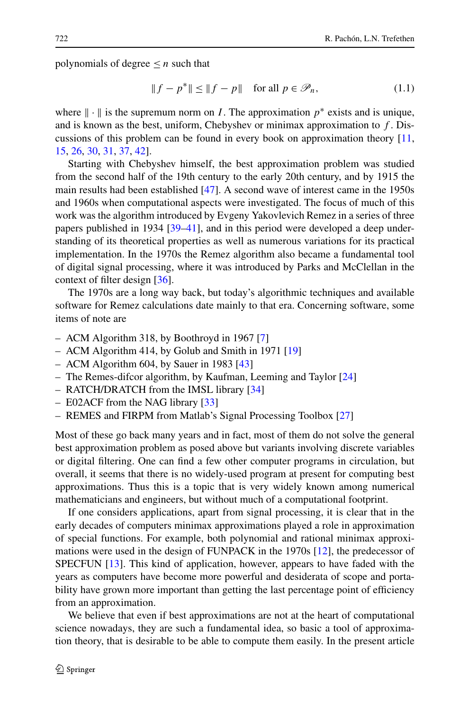polynomials of degree  $\leq n$  such that

$$
||f - p^*|| \le ||f - p|| \quad \text{for all } p \in \mathcal{P}_n,\tag{1.1}
$$

where  $\|\cdot\|$  is the supremum norm on *I*. The approximation  $p^*$  exists and is unique, and is known as the best, uniform, Chebyshev or minimax approximation to *f* . Discussions of this problem can be found in every book on approximation theory [\[11](#page-18-0), [15,](#page-18-0) [26,](#page-19-0) [30,](#page-19-0) [31,](#page-19-0) [37,](#page-19-0) [42](#page-19-0)].

Starting with Chebyshev himself, the best approximation problem was studied from the second half of the 19th century to the early 20th century, and by 1915 the main results had been established [[47\]](#page-19-0). A second wave of interest came in the 1950s and 1960s when computational aspects were investigated. The focus of much of this work was the algorithm introduced by Evgeny Yakovlevich Remez in a series of three papers published in 1934 [[39–41\]](#page-19-0), and in this period were developed a deep understanding of its theoretical properties as well as numerous variations for its practical implementation. In the 1970s the Remez algorithm also became a fundamental tool of digital signal processing, where it was introduced by Parks and McClellan in the context of filter design [\[36](#page-19-0)].

The 1970s are a long way back, but today's algorithmic techniques and available software for Remez calculations date mainly to that era. Concerning software, some items of note are

- ACM Algorithm 318, by Boothroyd in 1967 [[7\]](#page-18-0)
- ACM Algorithm 414, by Golub and Smith in 1971 [\[19](#page-19-0)]
- ACM Algorithm 604, by Sauer in 1983  $[43]$  $[43]$
- The Remes-difcor algorithm, by Kaufman, Leeming and Taylor [\[24](#page-19-0)]
- RATCH/DRATCH from the IMSL library [[34\]](#page-19-0)
- E02ACF from the NAG library [[33](#page-19-0)]
- REMES and FIRPM from Matlab's Signal Processing Toolbox [\[27](#page-19-0)]

Most of these go back many years and in fact, most of them do not solve the general best approximation problem as posed above but variants involving discrete variables or digital filtering. One can find a few other computer programs in circulation, but overall, it seems that there is no widely-used program at present for computing best approximations. Thus this is a topic that is very widely known among numerical mathematicians and engineers, but without much of a computational footprint.

If one considers applications, apart from signal processing, it is clear that in the early decades of computers minimax approximations played a role in approximation of special functions. For example, both polynomial and rational minimax approximations were used in the design of FUNPACK in the 1970s [\[12](#page-18-0)], the predecessor of SPECFUN [\[13](#page-18-0)]. This kind of application, however, appears to have faded with the years as computers have become more powerful and desiderata of scope and portability have grown more important than getting the last percentage point of efficiency from an approximation.

We believe that even if best approximations are not at the heart of computational science nowadays, they are such a fundamental idea, so basic a tool of approximation theory, that is desirable to be able to compute them easily. In the present article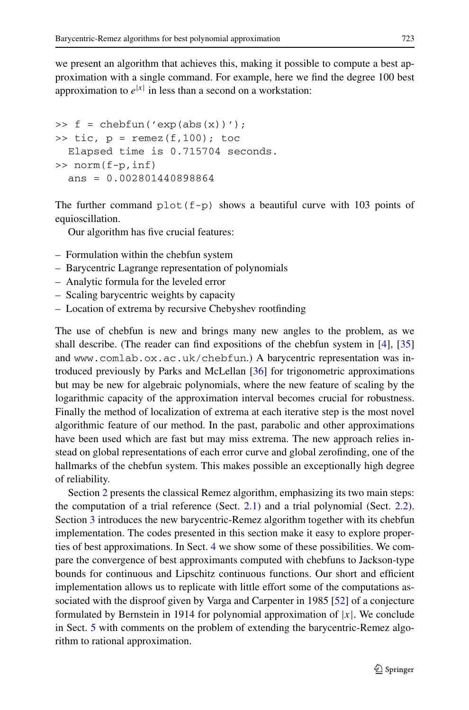we present an algorithm that achieves this, making it possible to compute a best approximation with a single command. For example, here we find the degree 100 best approximation to  $e^{|x|}$  in less than a second on a workstation:

```
\Rightarrow f = chebfun('exp(abs(x))');
\Rightarrow tic, p = \text{remez}(f, 100); toc
  Elapsed time is 0.715704 seconds.
>> norm(f-p,inf)
  ans = 0.002801440898864
```
The further command  $p$ lot( $f-p$ ) shows a beautiful curve with 103 points of equioscillation.

Our algorithm has five crucial features:

- Formulation within the chebfun system
- Barycentric Lagrange representation of polynomials
- Analytic formula for the leveled error
- Scaling barycentric weights by capacity
- Location of extrema by recursive Chebyshev rootfinding

The use of chebfun is new and brings many new angles to the problem, as we shall describe. (The reader can find expositions of the chebfun system in [[4\]](#page-18-0), [\[35](#page-19-0)] and www.comlab.ox.ac.uk/chebfun.) A barycentric representation was introduced previously by Parks and McLellan [\[36](#page-19-0)] for trigonometric approximations but may be new for algebraic polynomials, where the new feature of scaling by the logarithmic capacity of the approximation interval becomes crucial for robustness. Finally the method of localization of extrema at each iterative step is the most novel algorithmic feature of our method. In the past, parabolic and other approximations have been used which are fast but may miss extrema. The new approach relies instead on global representations of each error curve and global zerofinding, one of the hallmarks of the chebfun system. This makes possible an exceptionally high degree of reliability.

Section [2](#page-3-0) presents the classical Remez algorithm, emphasizing its two main steps: the computation of a trial reference (Sect. [2.1](#page-5-0)) and a trial polynomial (Sect. [2.2\)](#page-5-0). Section [3](#page-6-0) introduces the new barycentric-Remez algorithm together with its chebfun implementation. The codes presented in this section make it easy to explore properties of best approximations. In Sect. [4](#page-12-0) we show some of these possibilities. We compare the convergence of best approximants computed with chebfuns to Jackson-type bounds for continuous and Lipschitz continuous functions. Our short and efficient implementation allows us to replicate with little effort some of the computations associated with the disproof given by Varga and Carpenter in 1985 [[52\]](#page-20-0) of a conjecture formulated by Bernstein in 1914 for polynomial approximation of |*x*|. We conclude in Sect. [5](#page-18-0) with comments on the problem of extending the barycentric-Remez algorithm to rational approximation.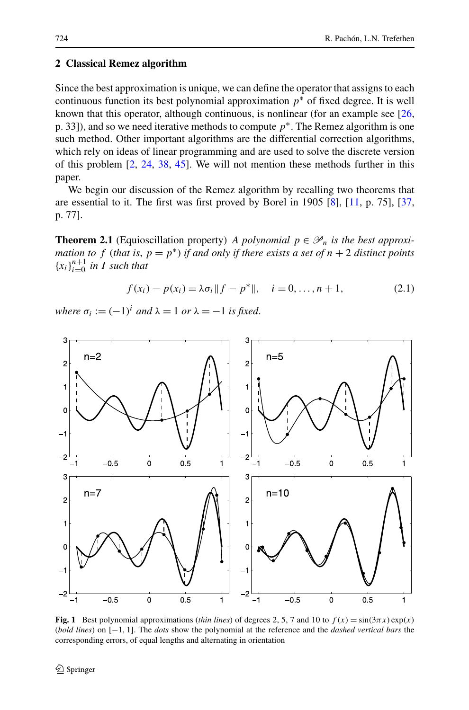# <span id="page-3-0"></span>**2 Classical Remez algorithm**

Since the best approximation is unique, we can define the operator that assigns to each continuous function its best polynomial approximation *p*<sup>∗</sup> of fixed degree. It is well known that this operator, although continuous, is nonlinear (for an example see [\[26](#page-19-0), p. 33]), and so we need iterative methods to compute  $p^*$ . The Remez algorithm is one such method. Other important algorithms are the differential correction algorithms, which rely on ideas of linear programming and are used to solve the discrete version of this problem [\[2](#page-18-0), [24](#page-19-0), [38](#page-19-0), [45](#page-19-0)]. We will not mention these methods further in this paper.

We begin our discussion of the Remez algorithm by recalling two theorems that are essential to it. The first was first proved by Borel in 1905 [[8\]](#page-18-0), [\[11](#page-18-0), p. 75], [\[37](#page-19-0), p. 77].

**Theorem 2.1** (Equioscillation property) *A polynomial*  $p \in \mathcal{P}_n$  *is the best approximation to f* (*that is,*  $p = p^*$ *) if and only if there exists a set of*  $n + 2$  *distinct points*  ${x_i}_{i=0}^{n+1}$  *in I* such that

$$
f(x_i) - p(x_i) = \lambda \sigma_i \|f - p^*\|, \quad i = 0, \dots, n+1,
$$
 (2.1)

*where*  $\sigma_i := (-1)^i$  *and*  $\lambda = 1$  *or*  $\lambda = -1$  *is fixed.* 



**Fig. 1** Best polynomial approximations (*thin lines*) of degrees 2, 5, 7 and 10 to  $f(x) = \sin(3\pi x) \exp(x)$ (*bold lines*) on [−1*,* 1]. The *dots* show the polynomial at the reference and the *dashed vertical bars* the corresponding errors, of equal lengths and alternating in orientation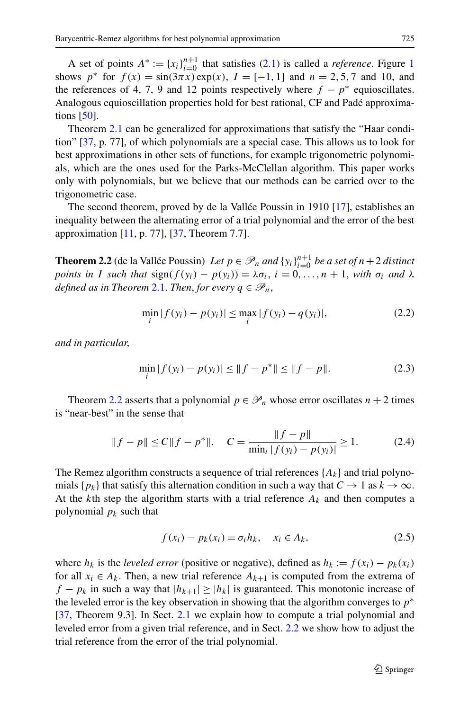<span id="page-4-0"></span>A set of points  $A^* := \{x_i\}_{i=0}^{n+1}$  $A^* := \{x_i\}_{i=0}^{n+1}$  $A^* := \{x_i\}_{i=0}^{n+1}$  that satisfies ([2.1](#page-3-0)) is called a *reference*. Figure 1 shows  $p^*$  for  $f(x) = \sin(3\pi x) \exp(x)$ ,  $I = [-1, 1]$  and  $n = 2, 5, 7$  and 10, and the references of 4, 7, 9 and 12 points respectively where  $f - p^*$  equioscillates. Analogous equioscillation properties hold for best rational, CF and Padé approximations [[50\]](#page-20-0).

Theorem [2.1](#page-3-0) can be generalized for approximations that satisfy the "Haar condition" [[37,](#page-19-0) p. 77], of which polynomials are a special case. This allows us to look for best approximations in other sets of functions, for example trigonometric polynomials, which are the ones used for the Parks-McClellan algorithm. This paper works only with polynomials, but we believe that our methods can be carried over to the trigonometric case.

The second theorem, proved by de la Vallée Poussin in 1910 [\[17](#page-19-0)], establishes an inequality between the alternating error of a trial polynomial and the error of the best approximation [[11,](#page-18-0) p. 77], [\[37](#page-19-0), Theorem 7.7].

**Theorem 2.2** (de la Vallée Poussin) *Let*  $p \in \mathcal{P}_n$  *and*  $\{y_i\}_{i=0}^{n+1}$  *be a set of*  $n+2$  *distinct points in I* such that sign $(f(y_i) - p(y_i)) = \lambda \sigma_i$ ,  $i = 0, ..., n + 1$ , with  $\sigma_i$  and  $\lambda$ *defined as in Theorem* [2.1.](#page-3-0) *Then, for every*  $q \in \mathcal{P}_n$ ,

$$
\min_{i} |f(y_i) - p(y_i)| \le \max_{i} |f(y_i) - q(y_i)|,\tag{2.2}
$$

*and in particular*,

$$
\min_{i} |f(y_i) - p(y_i)| \le ||f - p^*|| \le ||f - p||. \tag{2.3}
$$

Theorem 2.2 asserts that a polynomial  $p \in \mathcal{P}_n$  whose error oscillates  $n + 2$  times is "near-best" in the sense that

$$
||f - p|| \le C ||f - p^*||, \quad C = \frac{||f - p||}{\min_i |f(y_i) - p(y_i)|} \ge 1.
$$
 (2.4)

The Remez algorithm constructs a sequence of trial references  $\{A_k\}$  and trial polynomials { $p_k$ } that satisfy this alternation condition in such a way that  $C \to 1$  as  $k \to \infty$ . At the *k*th step the algorithm starts with a trial reference  $A_k$  and then computes a polynomial *pk* such that

$$
f(x_i) - p_k(x_i) = \sigma_i h_k, \quad x_i \in A_k,
$$
\n(2.5)

where  $h_k$  is the *leveled error* (positive or negative), defined as  $h_k := f(x_i) - p_k(x_i)$ for all  $x_i \in A_k$ . Then, a new trial reference  $A_{k+1}$  is computed from the extrema of  $f - p_k$  in such a way that  $|h_{k+1}| \geq |h_k|$  is guaranteed. This monotonic increase of the leveled error is the key observation in showing that the algorithm converges to *p*<sup>∗</sup> [\[37](#page-19-0), Theorem 9.3]. In Sect. [2.1](#page-5-0) we explain how to compute a trial polynomial and leveled error from a given trial reference, and in Sect. [2.2](#page-5-0) we show how to adjust the trial reference from the error of the trial polynomial.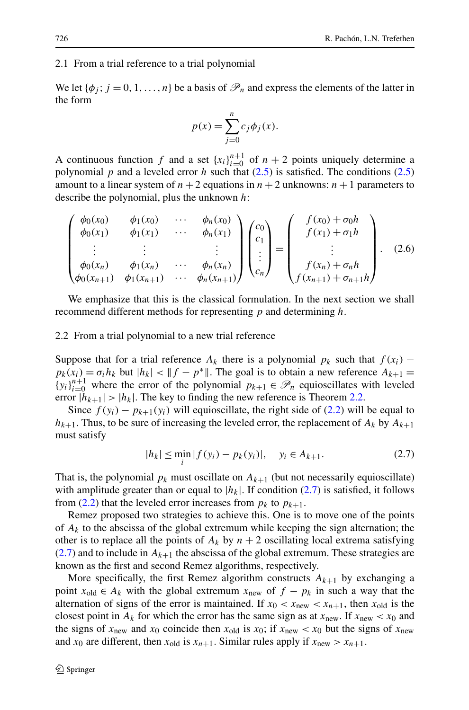#### <span id="page-5-0"></span>2.1 From a trial reference to a trial polynomial

We let  $\{\phi_i; j = 0, 1, \ldots, n\}$  be a basis of  $\mathcal{P}_n$  and express the elements of the latter in the form

$$
p(x) = \sum_{j=0}^{n} c_j \phi_j(x).
$$

A continuous function *f* and a set  $\{x_i\}_{i=0}^{n+1}$  of  $n+2$  points uniquely determine a polynomial *p* and a leveled error *h* such that ([2.5](#page-4-0)) is satisfied. The conditions ([2.5](#page-4-0)) amount to a linear system of  $n + 2$  equations in  $n + 2$  unknowns:  $n + 1$  parameters to describe the polynomial, plus the unknown *h*:

$$
\begin{pmatrix}\n\phi_0(x_0) & \phi_1(x_0) & \cdots & \phi_n(x_0) \\
\phi_0(x_1) & \phi_1(x_1) & \cdots & \phi_n(x_1) \\
\vdots & \vdots & & \vdots \\
\phi_0(x_n) & \phi_1(x_n) & \cdots & \phi_n(x_n) \\
\phi_0(x_{n+1}) & \phi_1(x_{n+1}) & \cdots & \phi_n(x_{n+1})\n\end{pmatrix}\n\begin{pmatrix}\nc_0 \\
c_1 \\
\vdots \\
c_n\n\end{pmatrix}\n=\n\begin{pmatrix}\nf(x_0) + \sigma_0 h \\
f(x_1) + \sigma_1 h \\
\vdots \\
f(x_n) + \sigma_n h \\
f(x_{n+1}) + \sigma_{n+1} h\n\end{pmatrix}.
$$
\n(2.6)

We emphasize that this is the classical formulation. In the next section we shall recommend different methods for representing *p* and determining *h*.

#### 2.2 From a trial polynomial to a new trial reference

Suppose that for a trial reference  $A_k$  there is a polynomial  $p_k$  such that  $f(x_i)$  −  $p_k(x_i) = \sigma_i h_k$  but  $|h_k| < ||f - p^*||$ . The goal is to obtain a new reference  $A_{k+1} =$  ${y_i}_{i=0}^{n+1}$  where the error of the polynomial  $p_{k+1} \in \mathcal{P}_n$  equioscillates with leveled error  $|h_{k+1}| > |h_k|$ . The key to finding the new reference is Theorem [2.2](#page-4-0).

Since  $f(y_i) - p_{k+1}(y_i)$  will equioscillate, the right side of ([2.2](#page-4-0)) will be equal to  $h_{k+1}$ . Thus, to be sure of increasing the leveled error, the replacement of  $A_k$  by  $A_{k+1}$ must satisfy

$$
|h_k| \le \min_i |f(y_i) - p_k(y_i)|, \quad y_i \in A_{k+1}.
$$
 (2.7)

That is, the polynomial  $p_k$  must oscillate on  $A_{k+1}$  (but not necessarily equioscillate) with amplitude greater than or equal to  $|h_k|$ . If condition (2.7) is satisfied, it follows from ([2.2](#page-4-0)) that the leveled error increases from  $p_k$  to  $p_{k+1}$ .

Remez proposed two strategies to achieve this. One is to move one of the points of  $A_k$  to the abscissa of the global extremum while keeping the sign alternation; the other is to replace all the points of  $A_k$  by  $n + 2$  oscillating local extrema satisfying  $(2.7)$  and to include in  $A_{k+1}$  the abscissa of the global extremum. These strategies are known as the first and second Remez algorithms, respectively.

More specifically, the first Remez algorithm constructs  $A_{k+1}$  by exchanging a point  $x_{old}$  ∈  $A_k$  with the global extremum  $x_{new}$  of  $f - p_k$  in such a way that the alternation of signs of the error is maintained. If  $x_0 < x_{\text{new}} < x_{n+1}$ , then  $x_{\text{old}}$  is the closest point in  $A_k$  for which the error has the same sign as at  $x_{\text{new}}$ . If  $x_{\text{new}} < x_0$  and the signs of  $x_{\text{new}}$  and  $x_0$  coincide then  $x_{\text{old}}$  is  $x_0$ ; if  $x_{\text{new}} < x_0$  but the signs of  $x_{\text{new}}$ and  $x_0$  are different, then  $x_{old}$  is  $x_{n+1}$ . Similar rules apply if  $x_{new} > x_{n+1}$ .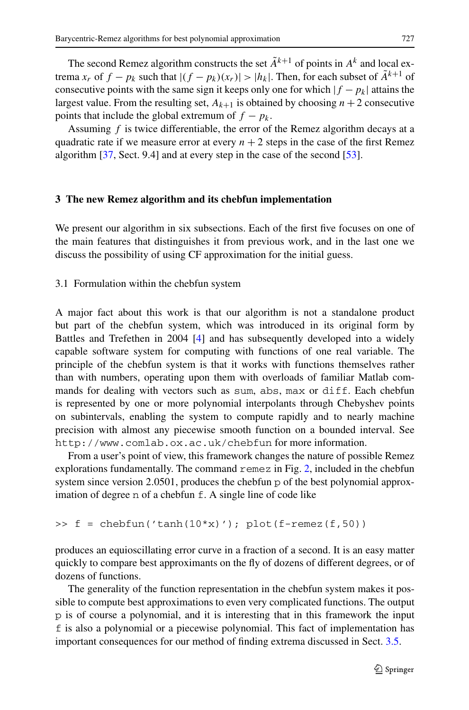<span id="page-6-0"></span>The second Remez algorithm constructs the set  $\tilde{A}^{k+1}$  of points in  $A^k$  and local extrema  $x_r$  of  $f - p_k$  such that  $|(f - p_k)(x_r)| > |h_k|$ . Then, for each subset of  $\tilde{A}^{k+1}$  of consecutive points with the same sign it keeps only one for which  $|f - p_k|$  attains the largest value. From the resulting set,  $A_{k+1}$  is obtained by choosing  $n+2$  consecutive points that include the global extremum of  $f - p_k$ .

Assuming *f* is twice differentiable, the error of the Remez algorithm decays at a quadratic rate if we measure error at every  $n + 2$  steps in the case of the first Remez algorithm [\[37](#page-19-0), Sect. 9.4] and at every step in the case of the second [\[53](#page-20-0)].

#### **3 The new Remez algorithm and its chebfun implementation**

We present our algorithm in six subsections. Each of the first five focuses on one of the main features that distinguishes it from previous work, and in the last one we discuss the possibility of using CF approximation for the initial guess.

# 3.1 Formulation within the chebfun system

A major fact about this work is that our algorithm is not a standalone product but part of the chebfun system, which was introduced in its original form by Battles and Trefethen in 2004 [[4\]](#page-18-0) and has subsequently developed into a widely capable software system for computing with functions of one real variable. The principle of the chebfun system is that it works with functions themselves rather than with numbers, operating upon them with overloads of familiar Matlab commands for dealing with vectors such as sum, abs, max or diff. Each chebfun is represented by one or more polynomial interpolants through Chebyshev points on subintervals, enabling the system to compute rapidly and to nearly machine precision with almost any piecewise smooth function on a bounded interval. See http://www.comlab.ox.ac.uk/chebfun for more information.

From a user's point of view, this framework changes the nature of possible Remez explorations fundamentally. The command  $r$ emez in Fig. [2](#page-7-0), included in the chebfun system since version 2.0501, produces the chebfun p of the best polynomial approximation of degree n of a chebfun f. A single line of code like

 $\Rightarrow$  f = chebfun('tanh(10\*x)'); plot(f-remez(f,50))

produces an equioscillating error curve in a fraction of a second. It is an easy matter quickly to compare best approximants on the fly of dozens of different degrees, or of dozens of functions.

The generality of the function representation in the chebfun system makes it possible to compute best approximations to even very complicated functions. The output p is of course a polynomial, and it is interesting that in this framework the input f is also a polynomial or a piecewise polynomial. This fact of implementation has important consequences for our method of finding extrema discussed in Sect. [3.5](#page-10-0).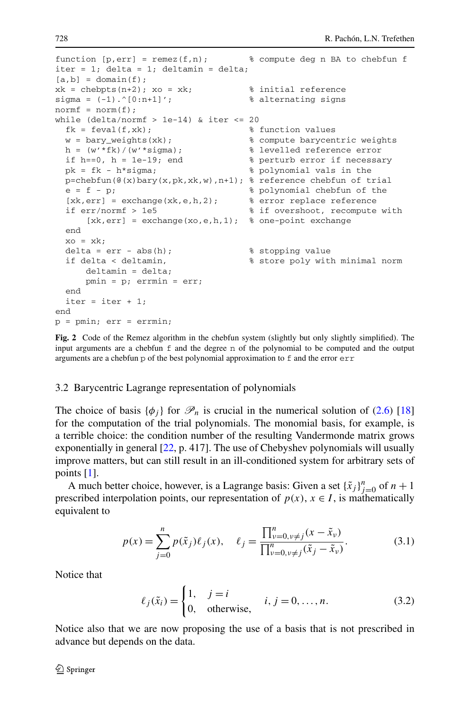```
function [p, err] = remez(f, n); % compute deg n BA to chebfun f
iter = 1; delta = 1; deltamin = delta;
[a,b] = domain(f);xk = \text{chebpts}(n+2); xo = xk; <br> & initial reference
sigma = (-1) \cdot (0:n+1); % alternating signs
normf = norm(f);while (delta/normf > 1e-14) & iter <= 20
 fk = fewal(f, xk); <br> & function values
 w = bary\_weights(xk);<br>
h = (w' * fk) / (w' * sigma);<br>
\text{levelled reference error}h = (w'*fk)/(w'*sigma);<br>
if h==0, h = 1e-19; end<br>
% perturb error if necessa
                                   % perturb error if necessary
 pk = fk - h*sigma; % polynomial vals in the
 p=chebfun(@(x)bary(x,pk,xk,w),n+1); % reference chebfun of trial
 e = f - p; % polynomial chebfun of the
 [xk,err] = exchange(xk,e,h,2); % error replace reference
 if err/normf > 1e5 % if overshoot, recompute with
     [xk,err] = exchange(xo,e,h,1); % one-point exchange
 end
 xo = xk;
 delta = err - abs(h); % stopping value
 if delta < deltamin, % store poly with minimal norm
     deltamin = delta;
     pmin = p; errmin = err;
 end
 iter = iter + 1;end
p = pmin; err = errmin;
```
**Fig. 2** Code of the Remez algorithm in the chebfun system (slightly but only slightly simplified). The input arguments are a chebfun  $f$  and the degree n of the polynomial to be computed and the output arguments are a chebfun p of the best polynomial approximation to f and the error err

#### 3.2 Barycentric Lagrange representation of polynomials

The choice of basis  $\{\phi_i\}$  for  $\mathcal{P}_n$  is crucial in the numerical solution of ([2.6](#page-5-0)) [\[18](#page-19-0)] for the computation of the trial polynomials. The monomial basis, for example, is a terrible choice: the condition number of the resulting Vandermonde matrix grows exponentially in general [\[22,](#page-19-0) p. 417]. The use of Chebyshev polynomials will usually improve matters, but can still result in an ill-conditioned system for arbitrary sets of points [[1\]](#page-18-0).

A much better choice, however, is a Lagrange basis: Given a set  $\{\tilde{x}_j\}_{j=0}^n$  of  $n+1$ prescribed interpolation points, our representation of  $p(x)$ ,  $x \in I$ , is mathematically equivalent to

$$
p(x) = \sum_{j=0}^{n} p(\tilde{x}_j) \ell_j(x), \quad \ell_j = \frac{\prod_{\nu=0, \nu \neq j}^{n} (x - \tilde{x}_\nu)}{\prod_{\nu=0, \nu \neq j}^{n} (\tilde{x}_j - \tilde{x}_\nu)}.
$$
(3.1)

Notice that

$$
\ell_j(\tilde{x}_i) = \begin{cases} 1, & j = i \\ 0, & \text{otherwise,} \end{cases} \quad i, j = 0, \dots, n. \tag{3.2}
$$

Notice also that we are now proposing the use of a basis that is not prescribed in advance but depends on the data.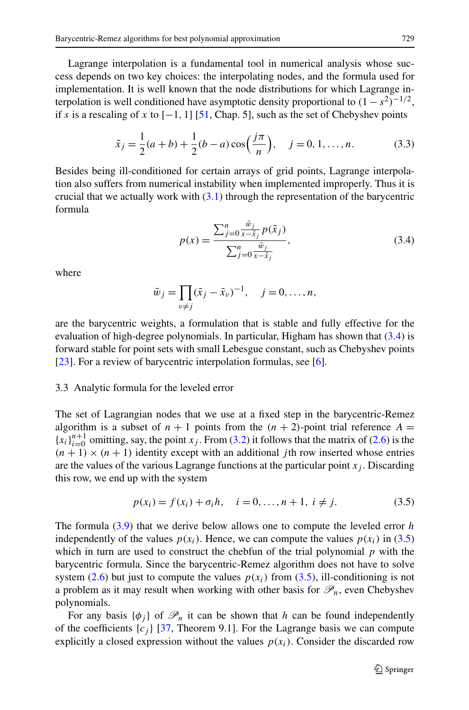<span id="page-8-0"></span>Lagrange interpolation is a fundamental tool in numerical analysis whose success depends on two key choices: the interpolating nodes, and the formula used for implementation. It is well known that the node distributions for which Lagrange interpolation is well conditioned have asymptotic density proportional to  $(1 - s^2)^{-1/2}$ , if *s* is a rescaling of *x* to  $[-1, 1]$  [\[51](#page-20-0), Chap. 5], such as the set of Chebyshev points

$$
\tilde{x}_j = \frac{1}{2}(a+b) + \frac{1}{2}(b-a)\cos\left(\frac{j\pi}{n}\right), \quad j = 0, 1, ..., n.
$$
 (3.3)

Besides being ill-conditioned for certain arrays of grid points, Lagrange interpolation also suffers from numerical instability when implemented improperly. Thus it is crucial that we actually work with  $(3.1)$  through the representation of the barycentric formula

$$
p(x) = \frac{\sum_{j=0}^{n} \frac{\tilde{w}_j}{x - \tilde{x}_j} p(\tilde{x}_j)}{\sum_{j=0}^{n} \frac{\tilde{w}_j}{x - \tilde{x}_j}},
$$
\n(3.4)

where

$$
\tilde{w}_j = \prod_{v \neq j} (\tilde{x}_j - \tilde{x}_v)^{-1}, \quad j = 0, \dots, n,
$$

are the barycentric weights, a formulation that is stable and fully effective for the evaluation of high-degree polynomials. In particular, Higham has shown that (3.4) is forward stable for point sets with small Lebesgue constant, such as Chebyshev points [\[23](#page-19-0)]. For a review of barycentric interpolation formulas, see [[6\]](#page-18-0).

# 3.3 Analytic formula for the leveled error

The set of Lagrangian nodes that we use at a fixed step in the barycentric-Remez algorithm is a subset of  $n + 1$  points from the  $(n + 2)$ -point trial reference  $A =$  ${x_i}_{i=0}^{n+1}$  omitting, say, the point  $x_j$ . From [\(3.2\)](#page-7-0) it follows that the matrix of ([2.6](#page-5-0)) is the  $(n + 1) \times (n + 1)$  identity except with an additional *j*th row inserted whose entries are the values of the various Lagrange functions at the particular point  $x_i$ . Discarding this row, we end up with the system

$$
p(x_i) = f(x_i) + \sigma_i h, \quad i = 0, ..., n+1, \ i \neq j. \tag{3.5}
$$

The formula ([3.9](#page-9-0)) that we derive below allows one to compute the leveled error *h* independently of the values  $p(x_i)$ . Hence, we can compute the values  $p(x_i)$  in (3.5) which in turn are used to construct the chebfun of the trial polynomial *p* with the barycentric formula. Since the barycentric-Remez algorithm does not have to solve system ([2.6](#page-5-0)) but just to compute the values  $p(x_i)$  from (3.5), ill-conditioning is not a problem as it may result when working with other basis for  $\mathcal{P}_n$ , even Chebyshev polynomials.

For any basis  $\{\phi_i\}$  of  $\mathcal{P}_n$  it can be shown that *h* can be found independently of the coefficients  $\{c_i\}$  [\[37](#page-19-0), Theorem 9.1]. For the Lagrange basis we can compute explicitly a closed expression without the values  $p(x<sub>i</sub>)$ . Consider the discarded row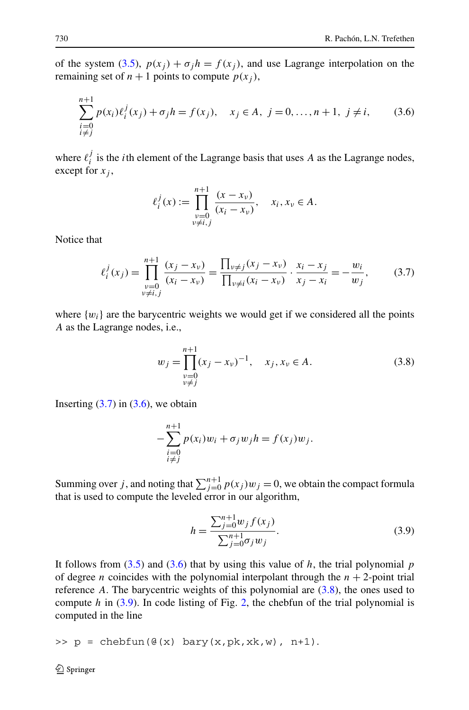<span id="page-9-0"></span>of the system [\(3.5\)](#page-8-0),  $p(x_j) + \sigma_j h = f(x_j)$ , and use Lagrange interpolation on the remaining set of  $n + 1$  points to compute  $p(x_i)$ ,

$$
\sum_{\substack{i=0\\i\neq j}}^{n+1} p(x_i) \ell_i^j(x_j) + \sigma_j h = f(x_j), \quad x_j \in A, \ j = 0, \dots, n+1, \ j \neq i,
$$
 (3.6)

where  $\ell_i^j$  is the *i*th element of the Lagrange basis that uses *A* as the Lagrange nodes, except for  $x_i$ ,

$$
\ell_i^j(x) := \prod_{\substack{\nu=0 \\ \nu \neq i, j}}^{n+1} \frac{(x - x_{\nu})}{(x_i - x_{\nu})}, \quad x_i, x_{\nu} \in A.
$$

Notice that

$$
\ell_i^j(x_j) = \prod_{\substack{\nu=0\\ \nu \neq i,j}}^{n+1} \frac{(x_j - x_\nu)}{(x_i - x_\nu)} = \frac{\prod_{\nu \neq j} (x_j - x_\nu)}{\prod_{\nu \neq i} (x_i - x_\nu)} \cdot \frac{x_i - x_j}{x_j - x_i} = -\frac{w_i}{w_j},\tag{3.7}
$$

where  $\{w_i\}$  are the barycentric weights we would get if we considered all the points *A* as the Lagrange nodes, i.e.,

$$
w_j = \prod_{\substack{\nu=0\\ \nu \neq j}}^{n+1} (x_j - x_\nu)^{-1}, \quad x_j, x_\nu \in A.
$$
 (3.8)

Inserting  $(3.7)$  in  $(3.6)$ , we obtain

$$
-\sum_{\substack{i=0\\i\neq j}}^{n+1} p(x_i)w_i + \sigma_j w_j h = f(x_j)w_j.
$$

Summing over *j*, and noting that  $\sum_{j=0}^{n+1} p(x_j)w_j = 0$ , we obtain the compact formula that is used to compute the leveled error in our algorithm,

$$
h = \frac{\sum_{j=0}^{n+1} w_j f(x_j)}{\sum_{j=0}^{n+1} \sigma_j w_j}.
$$
\n(3.9)

It follows from ([3.5](#page-8-0)) and (3.6) that by using this value of *h*, the trial polynomial *p* of degree *n* coincides with the polynomial interpolant through the  $n + 2$ -point trial reference *A*. The barycentric weights of this polynomial are (3.8), the ones used to compute *h* in (3.9). In code listing of Fig. [2,](#page-7-0) the chebfun of the trial polynomial is computed in the line

$$
\Rightarrow p = \text{chebfun}(\mathcal{C}(x) \text{ bary}(x, pk, xk, w), n+1).
$$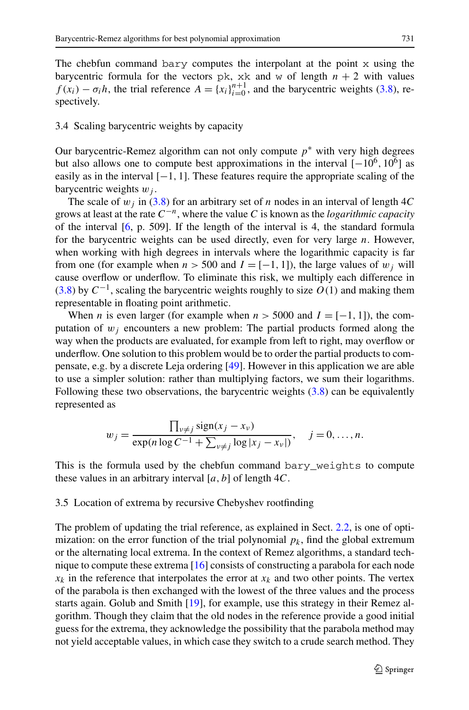<span id="page-10-0"></span>The chebfun command bary computes the interpolant at the point  $x$  using the barycentric formula for the vectors  $pk$ ,  $xk$  and w of length  $n + 2$  with values  $f(x_i) - \sigma_i h$ , the trial reference  $A = \{x_i\}_{i=0}^{n+1}$ , and the barycentric weights [\(3.8](#page-9-0)), respectively.

#### 3.4 Scaling barycentric weights by capacity

Our barycentric-Remez algorithm can not only compute *p*<sup>∗</sup> with very high degrees but also allows one to compute best approximations in the interval  $[-10^6, 10^6]$  as easily as in the interval [−1*,* 1]. These features require the appropriate scaling of the barycentric weights *wj* .

The scale of  $w_i$  in [\(3.8\)](#page-9-0) for an arbitrary set of *n* nodes in an interval of length  $4C$ grows at least at the rate *C*−*n*, where the value *C* is known as the *logarithmic capacity* of the interval  $[6, p. 509]$  $[6, p. 509]$ . If the length of the interval is 4, the standard formula for the barycentric weights can be used directly, even for very large *n*. However, when working with high degrees in intervals where the logarithmic capacity is far from one (for example when  $n > 500$  and  $I = [-1, 1]$ ), the large values of  $w_j$  will cause overflow or underflow. To eliminate this risk, we multiply each difference in [\(3.8\)](#page-9-0) by *C*<sup>−</sup>1, scaling the barycentric weights roughly to size *O(*1*)* and making them representable in floating point arithmetic.

When *n* is even larger (for example when  $n > 5000$  and  $I = [-1, 1]$ ), the computation of  $w_i$  encounters a new problem: The partial products formed along the way when the products are evaluated, for example from left to right, may overflow or underflow. One solution to this problem would be to order the partial products to compensate, e.g. by a discrete Leja ordering [\[49](#page-19-0)]. However in this application we are able to use a simpler solution: rather than multiplying factors, we sum their logarithms. Following these two observations, the barycentric weights  $(3.8)$  $(3.8)$  can be equivalently represented as

$$
w_j = \frac{\prod_{v \neq j} sign(x_j - x_v)}{\exp(n \log C^{-1} + \sum_{v \neq j} \log |x_j - x_v|)}, \quad j = 0, ..., n.
$$

This is the formula used by the chebfun command bary\_weights to compute these values in an arbitrary interval [*a,b*] of length 4*C*.

#### 3.5 Location of extrema by recursive Chebyshev rootfinding

The problem of updating the trial reference, as explained in Sect. [2.2](#page-5-0), is one of optimization: on the error function of the trial polynomial  $p_k$ , find the global extremum or the alternating local extrema. In the context of Remez algorithms, a standard technique to compute these extrema [[16\]](#page-19-0) consists of constructing a parabola for each node  $x_k$  in the reference that interpolates the error at  $x_k$  and two other points. The vertex of the parabola is then exchanged with the lowest of the three values and the process starts again. Golub and Smith [\[19](#page-19-0)], for example, use this strategy in their Remez algorithm. Though they claim that the old nodes in the reference provide a good initial guess for the extrema, they acknowledge the possibility that the parabola method may not yield acceptable values, in which case they switch to a crude search method. They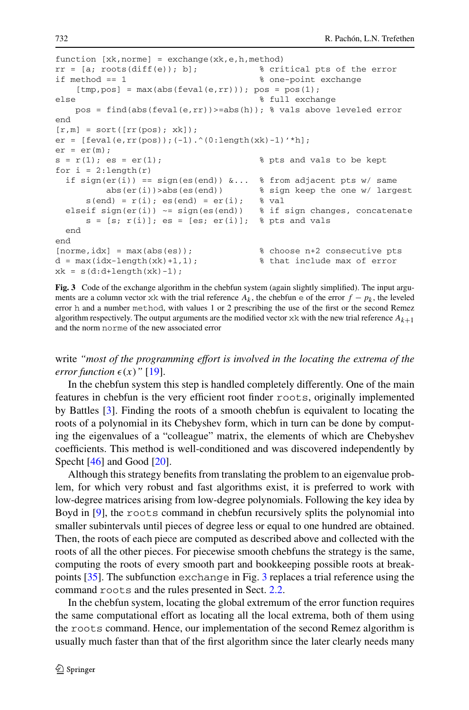```
function [xk,norme] = exchange(xk,e,h,method)rr = [a; \text{roots}(diff(e)); b]; % critical pts of the error
if method == 1 % one-point exchange
   [tmp,pos] = max(abs(feval(e, rr))); pos = pos(1);
else \frac{1}{2} exchange
   pos = find(abs(feval(e,rr))>=abs(h)); % vals above leveled error
end
[r,m] = sort([rr(pos); xk]);er = [few1(e,rr(pos));(-1).^(0:length(xk)-1)'*h];er = er(m);s = r(1); es = er(1); \qquad \qquad 8 pts and vals to be kept
for i = 2: length(r)
 if sign(er(i)) == sign(es(end)) &... & from adjacent pts w / sameabs(er(i))>abs(es(end)) % sign keep the one w/ largest
     s(end) = r(i); es(end) = er(i); % valelseif sign(er(i)) \sim = sign(es(end)) % if sign changes, concatenate
     s = [s; r(i)]; es = [es; er(i)]; % pts and vals
 end
end
[norme, idx] = max(abs(es)); % choose n+2 consecutive pts
d = max(idx - length(xk) + 1,1); <br> & that include max of error
xk = s(d:d+length(xk)-1);
```
**Fig. 3** Code of the exchange algorithm in the chebfun system (again slightly simplified). The input arguments are a column vector xk with the trial reference  $A_k$ , the chebfun e of the error  $f - p_k$ , the leveled error h and a number method, with values 1 or 2 prescribing the use of the first or the second Remez algorithm respectively. The output arguments are the modified vector  $x_k$  with the new trial reference  $A_{k+1}$ and the norm norme of the new associated error

write *"most of the programming effort is involved in the locating the extrema of the error function*  $\epsilon(x)$ <sup>"</sup> [\[19](#page-19-0)].

In the chebfun system this step is handled completely differently. One of the main features in chebfun is the very efficient root finder roots, originally implemented by Battles [[3\]](#page-18-0). Finding the roots of a smooth chebfun is equivalent to locating the roots of a polynomial in its Chebyshev form, which in turn can be done by computing the eigenvalues of a "colleague" matrix, the elements of which are Chebyshev coefficients. This method is well-conditioned and was discovered independently by Specht [[46\]](#page-19-0) and Good [\[20](#page-19-0)].

Although this strategy benefits from translating the problem to an eigenvalue problem, for which very robust and fast algorithms exist, it is preferred to work with low-degree matrices arising from low-degree polynomials. Following the key idea by Boyd in [\[9](#page-18-0)], the roots command in chebfun recursively splits the polynomial into smaller subintervals until pieces of degree less or equal to one hundred are obtained. Then, the roots of each piece are computed as described above and collected with the roots of all the other pieces. For piecewise smooth chebfuns the strategy is the same, computing the roots of every smooth part and bookkeeping possible roots at breakpoints [[35\]](#page-19-0). The subfunction exchange in Fig. 3 replaces a trial reference using the command roots and the rules presented in Sect. [2.2.](#page-5-0)

In the chebfun system, locating the global extremum of the error function requires the same computational effort as locating all the local extrema, both of them using the roots command. Hence, our implementation of the second Remez algorithm is usually much faster than that of the first algorithm since the later clearly needs many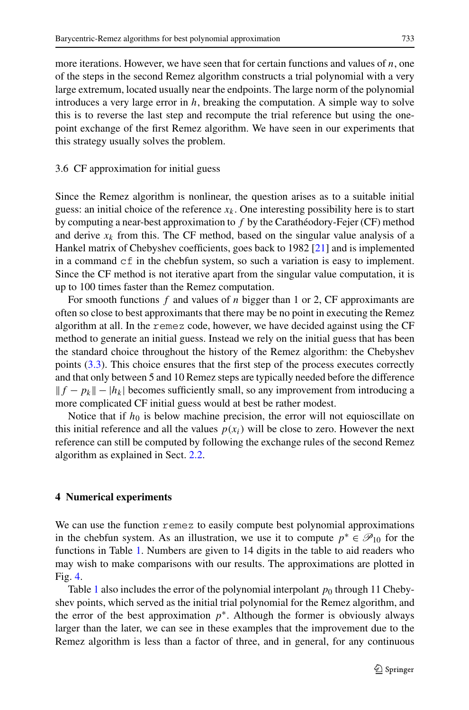<span id="page-12-0"></span>more iterations. However, we have seen that for certain functions and values of *n*, one of the steps in the second Remez algorithm constructs a trial polynomial with a very large extremum, located usually near the endpoints. The large norm of the polynomial introduces a very large error in *h*, breaking the computation. A simple way to solve this is to reverse the last step and recompute the trial reference but using the onepoint exchange of the first Remez algorithm. We have seen in our experiments that this strategy usually solves the problem.

#### 3.6 CF approximation for initial guess

Since the Remez algorithm is nonlinear, the question arises as to a suitable initial guess: an initial choice of the reference  $x_k$ . One interesting possibility here is to start by computing a near-best approximation to *f* by the Carathéodory-Fejer (CF) method and derive  $x_k$  from this. The CF method, based on the singular value analysis of a Hankel matrix of Chebyshev coefficients, goes back to 1982 [\[21](#page-19-0)] and is implemented in a command  $cf$  in the chebfun system, so such a variation is easy to implement. Since the CF method is not iterative apart from the singular value computation, it is up to 100 times faster than the Remez computation.

For smooth functions *f* and values of *n* bigger than 1 or 2, CF approximants are often so close to best approximants that there may be no point in executing the Remez algorithm at all. In the remez code, however, we have decided against using the CF method to generate an initial guess. Instead we rely on the initial guess that has been the standard choice throughout the history of the Remez algorithm: the Chebyshev points [\(3.3\)](#page-8-0). This choice ensures that the first step of the process executes correctly and that only between 5 and 10 Remez steps are typically needed before the difference  $|| f - p_k || - |h_k|$  becomes sufficiently small, so any improvement from introducing a more complicated CF initial guess would at best be rather modest.

Notice that if  $h_0$  is below machine precision, the error will not equioscillate on this initial reference and all the values  $p(x<sub>i</sub>)$  will be close to zero. However the next reference can still be computed by following the exchange rules of the second Remez algorithm as explained in Sect. [2.2.](#page-5-0)

# **4 Numerical experiments**

We can use the function remez to easily compute best polynomial approximations in the chebfun system. As an illustration, we use it to compute  $p^* \in \mathcal{P}_{10}$  for the functions in Table [1](#page-13-0). Numbers are given to 14 digits in the table to aid readers who may wish to make comparisons with our results. The approximations are plotted in Fig. [4](#page-13-0).

Table [1](#page-13-0) also includes the error of the polynomial interpolant  $p_0$  through 11 Chebyshev points, which served as the initial trial polynomial for the Remez algorithm, and the error of the best approximation  $p^*$ . Although the former is obviously always larger than the later, we can see in these examples that the improvement due to the Remez algorithm is less than a factor of three, and in general, for any continuous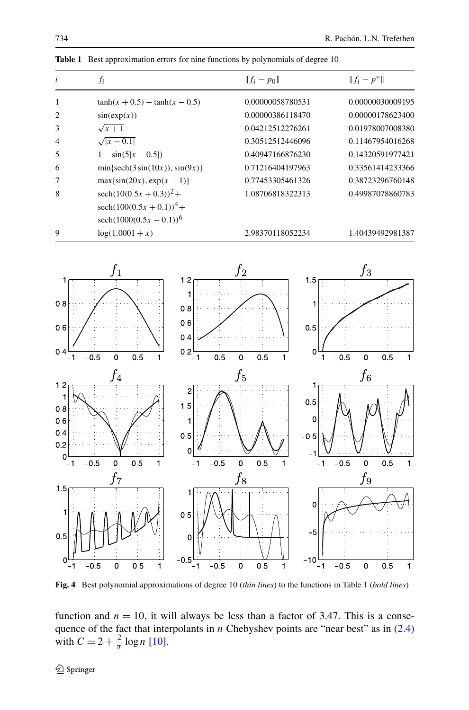| i              | fi                                                                                         | $  f_i - p_0  $  | $  f_i - p^*  $  |
|----------------|--------------------------------------------------------------------------------------------|------------------|------------------|
| 1              | $tanh(x + 0.5) - tanh(x - 0.5)$                                                            | 0.00000058780531 | 0.00000030009195 |
| $\overline{2}$ | sin(exp(x))                                                                                | 0.00000386118470 | 0.00000178623400 |
| 3              | $\sqrt{x+1}$                                                                               | 0.04212512276261 | 0.01978007008380 |
| $\overline{4}$ | $\sqrt{x-0.1}$                                                                             | 0.30512512446096 | 0.11467954016268 |
| 5              | $1 - \sin(5 x - 0.5 )$                                                                     | 0.40947166876230 | 0.14320591977421 |
| 6              | $min\{sech(3sin(10x)), sin(9x)\}\$                                                         | 0.71216404197963 | 0.33561414233366 |
| 7              | $max\{sin(20x), exp(x - 1)\}\$                                                             | 0.77453305461326 | 0.38723296760148 |
| 8              | sech $(10(0.5x + 0.3))^2$ +<br>sech $(100(0.5x + 0.1))^4$ +<br>sech $(1000(0.5x - 0.1))^6$ | 1.08706818322313 | 0.49987078860783 |
| 9              | $log(1.0001 + x)$                                                                          | 2.98370118052234 | 1.40439492981387 |

<span id="page-13-0"></span>**Table 1** Best approximation errors for nine functions by polynomials of degree 10



**Fig. 4** Best polynomial approximations of degree 10 (*thin lines*) to the functions in Table 1 (*bold lines*)

function and  $n = 10$ , it will always be less than a factor of 3.47. This is a consequence of the fact that interpolants in *n* Chebyshev points are "near best" as in ([2.4](#page-4-0)) with  $C = 2 + \frac{2}{\pi} \log n$  [[10\]](#page-18-0).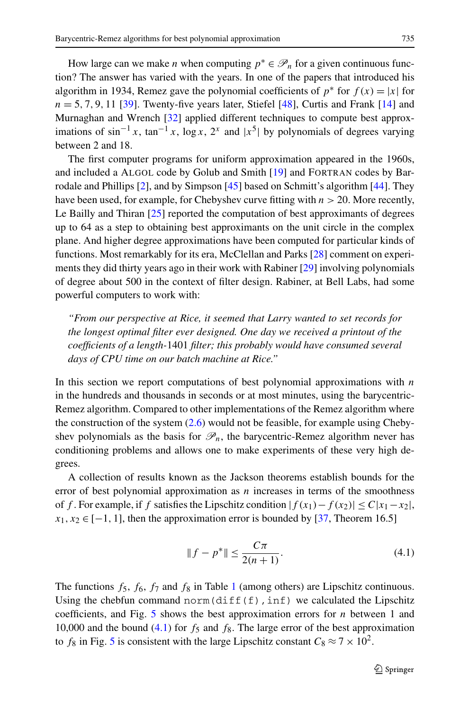<span id="page-14-0"></span>How large can we make *n* when computing  $p^* \in \mathcal{P}_n$  for a given continuous function? The answer has varied with the years. In one of the papers that introduced his algorithm in 1934, Remez gave the polynomial coefficients of  $p^*$  for  $f(x) = |x|$  for  $n = 5, 7, 9, 11$  [\[39](#page-19-0)]. Twenty-five years later, Stiefel [\[48](#page-19-0)], Curtis and Frank [[14\]](#page-18-0) and Murnaghan and Wrench [[32\]](#page-19-0) applied different techniques to compute best approximations of  $\sin^{-1} x$ ,  $\tan^{-1} x$ ,  $\log x$ ,  $2^x$  and  $|x^5|$  by polynomials of degrees varying between 2 and 18.

The first computer programs for uniform approximation appeared in the 1960s, and included a ALGOL code by Golub and Smith [[19\]](#page-19-0) and FORTRAN codes by Barrodale and Phillips [\[2](#page-18-0)], and by Simpson [[45\]](#page-19-0) based on Schmitt's algorithm [\[44](#page-19-0)]. They have been used, for example, for Chebyshev curve fitting with *n >* 20. More recently, Le Bailly and Thiran [[25\]](#page-19-0) reported the computation of best approximants of degrees up to 64 as a step to obtaining best approximants on the unit circle in the complex plane. And higher degree approximations have been computed for particular kinds of functions. Most remarkably for its era, McClellan and Parks [[28\]](#page-19-0) comment on experiments they did thirty years ago in their work with Rabiner [\[29](#page-19-0)] involving polynomials of degree about 500 in the context of filter design. Rabiner, at Bell Labs, had some powerful computers to work with:

*"From our perspective at Rice, it seemed that Larry wanted to set records for the longest optimal filter ever designed. One day we received a printout of the coefficients of a length-*1401 *filter; this probably would have consumed several days of CPU time on our batch machine at Rice."*

In this section we report computations of best polynomial approximations with *n* in the hundreds and thousands in seconds or at most minutes, using the barycentric-Remez algorithm. Compared to other implementations of the Remez algorithm where the construction of the system ([2.6](#page-5-0)) would not be feasible, for example using Chebyshev polynomials as the basis for  $\mathcal{P}_n$ , the barycentric-Remez algorithm never has conditioning problems and allows one to make experiments of these very high degrees.

A collection of results known as the Jackson theorems establish bounds for the error of best polynomial approximation as *n* increases in terms of the smoothness of *f* . For example, if *f* satisfies the Lipschitz condition  $|f(x_1) - f(x_2)| \le C|x_1 - x_2|$ ,  $x_1, x_2 \in [-1, 1]$ , then the approximation error is bounded by [\[37,](#page-19-0) Theorem 16.5]

$$
||f - p^*|| \le \frac{C\pi}{2(n+1)}.
$$
\n(4.1)

The functions  $f_5$ ,  $f_6$ ,  $f_7$  and  $f_8$  in Table [1](#page-13-0) (among others) are Lipschitz continuous. Using the chebfun command norm  $(diff(f),inf)$  we calculated the Lipschitz coefficients, and Fig. [5](#page-15-0) shows the best approximation errors for *n* between 1 and 10,000 and the bound  $(4.1)$  for  $f_5$  and  $f_8$ . The large error of the best approximation to  $f_8$  in Fig. [5](#page-15-0) is consistent with the large Lipschitz constant  $C_8 \approx 7 \times 10^2$ .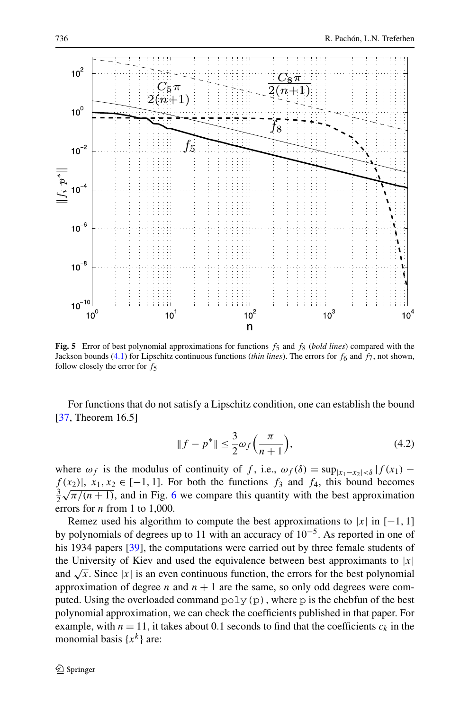<span id="page-15-0"></span>

**Fig. 5** Error of best polynomial approximations for functions  $f_5$  and  $f_8$  (*bold lines*) compared with the Jackson bounds ([4.1\)](#page-14-0) for Lipschitz continuous functions (*thin lines*). The errors for  $f_6$  and  $f_7$ , not shown, follow closely the error for  $f_5$ 

For functions that do not satisfy a Lipschitz condition, one can establish the bound [\[37](#page-19-0), Theorem 16.5]

$$
||f - p^*|| \le \frac{3}{2}\omega_f \left(\frac{\pi}{n+1}\right),\tag{4.2}
$$

where  $\omega_f$  is the modulus of continuity of *f*, i.e.,  $\omega_f(\delta) = \sup_{|x_1 - x_2| < \delta} |f(x_1) - f(x_2)|$  $f(x_2)$ ,  $x_1, x_2 \in [-1, 1]$ . For both the functions  $f_3$  and  $f_4$ , this bound becomes  $\frac{3}{2}\sqrt{\pi/(n+1)}$ , and in Fig. [6](#page-16-0) we compare this quantity with the best approximation  $\frac{3}{2}\sqrt{\pi/(n+1)}$ , and in Fig. 6 we compare this quantity with the best approximation errors for *n* from 1 to 1,000.

Remez used his algorithm to compute the best approximations to  $|x|$  in  $[-1, 1]$ by polynomials of degrees up to 11 with an accuracy of 10<sup>−</sup>5. As reported in one of his 1934 papers [\[39](#page-19-0)], the computations were carried out by three female students of the University of Kiev and used the equivalence between best approximants to  $|x|$ and  $\sqrt{x}$ . Since |*x*| is an even continuous function, the errors for the best polynomial approximation of degree *n* and  $n + 1$  are the same, so only odd degrees were computed. Using the overloaded command  $poly(p)$ , where p is the chebfun of the best polynomial approximation, we can check the coefficients published in that paper. For example, with  $n = 11$ , it takes about 0.1 seconds to find that the coefficients  $c_k$  in the monomial basis  $\{x^k\}$  are: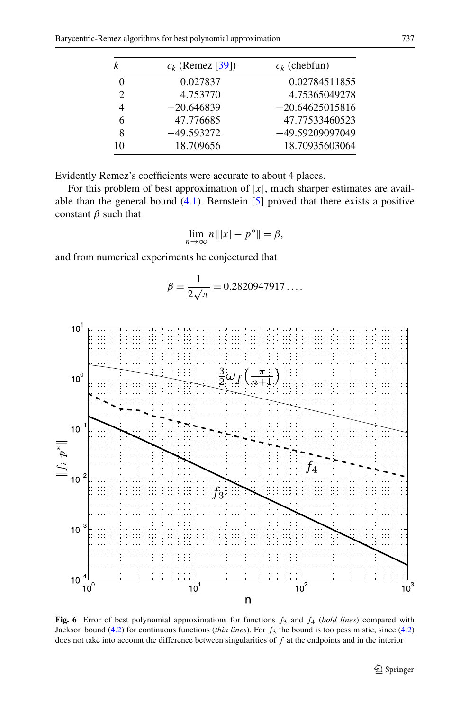<span id="page-16-0"></span>

|                             | $c_k$ (Remez [39]) | $c_k$ (chebfun)   |
|-----------------------------|--------------------|-------------------|
| 0                           | 0.027837           | 0.02784511855     |
| $\mathcal{D}_{\mathcal{L}}$ | 4.753770           | 4.75365049278     |
| 4                           | $-20.646839$       | $-20.64625015816$ |
| 6                           | 47.776685          | 47.77533460523    |
| 8                           | $-49.593272$       | -49.59209097049   |
| 10                          | 18.709656          | 18.70935603064    |
|                             |                    |                   |

Evidently Remez's coefficients were accurate to about 4 places.

For this problem of best approximation of  $|x|$ , much sharper estimates are available than the general bound  $(4.1)$  $(4.1)$ . Bernstein [\[5](#page-18-0)] proved that there exists a positive constant *β* such that

$$
\lim_{n \to \infty} n \| |x| - p^* \| = \beta,
$$

and from numerical experiments he conjectured that

$$
\beta = \frac{1}{2\sqrt{\pi}} = 0.2820947917\dots
$$



**Fig. 6** Error of best polynomial approximations for functions *f*3 and *f*4 (*bold lines*) compared with Jackson bound ([4.2\)](#page-15-0) for continuous functions (*thin lines*). For *f*3 the bound is too pessimistic, since ([4.2\)](#page-15-0) does not take into account the difference between singularities of *f* at the endpoints and in the interior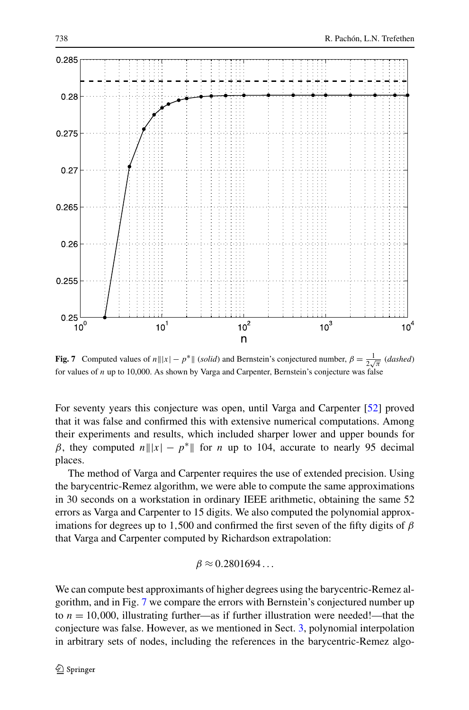<span id="page-17-0"></span>

**Fig. 7** Computed values of  $n||x| - p^*||$  (*solid*) and Bernstein's conjectured number,  $\beta = \frac{1}{2\sqrt{\pi}}$  (*dashed*) for values of *n* up to 10,000. As shown by Varga and Carpenter, Bernstein's conjecture was false

For seventy years this conjecture was open, until Varga and Carpenter [[52\]](#page-20-0) proved that it was false and confirmed this with extensive numerical computations. Among their experiments and results, which included sharper lower and upper bounds for *β*, they computed *n*|||*x*| − *p*<sup>\*</sup>|| for *n* up to 104, accurate to nearly 95 decimal places.

The method of Varga and Carpenter requires the use of extended precision. Using the barycentric-Remez algorithm, we were able to compute the same approximations in 30 seconds on a workstation in ordinary IEEE arithmetic, obtaining the same 52 errors as Varga and Carpenter to 15 digits. We also computed the polynomial approximations for degrees up to 1*,*500 and confirmed the first seven of the fifty digits of *β* that Varga and Carpenter computed by Richardson extrapolation:

$$
\beta \approx 0.2801694\dots
$$

We can compute best approximants of higher degrees using the barycentric-Remez algorithm, and in Fig. 7 we compare the errors with Bernstein's conjectured number up to  $n = 10,000$ , illustrating further—as if further illustration were needed!—that the conjecture was false. However, as we mentioned in Sect. [3,](#page-6-0) polynomial interpolation in arbitrary sets of nodes, including the references in the barycentric-Remez algo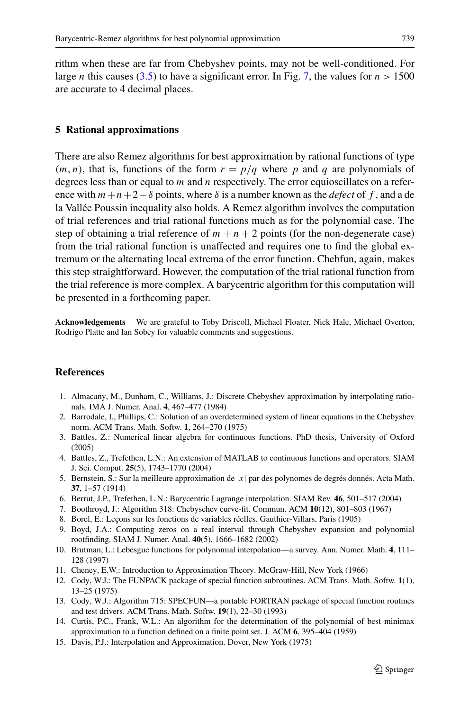<span id="page-18-0"></span>rithm when these are far from Chebyshev points, may not be well-conditioned. For large *n* this causes [\(3.5](#page-8-0)) to have a significant error. In Fig. [7,](#page-17-0) the values for  $n > 1500$ are accurate to 4 decimal places.

# **5 Rational approximations**

There are also Remez algorithms for best approximation by rational functions of type  $(m, n)$ , that is, functions of the form  $r = p/q$  where p and q are polynomials of degrees less than or equal to *m* and *n* respectively. The error equioscillates on a reference with  $m+n+2-\delta$  points, where  $\delta$  is a number known as the *defect* of f, and a de la Vallée Poussin inequality also holds. A Remez algorithm involves the computation of trial references and trial rational functions much as for the polynomial case. The step of obtaining a trial reference of  $m + n + 2$  points (for the non-degenerate case) from the trial rational function is unaffected and requires one to find the global extremum or the alternating local extrema of the error function. Chebfun, again, makes this step straightforward. However, the computation of the trial rational function from the trial reference is more complex. A barycentric algorithm for this computation will be presented in a forthcoming paper.

**Acknowledgements** We are grateful to Toby Driscoll, Michael Floater, Nick Hale, Michael Overton, Rodrigo Platte and Ian Sobey for valuable comments and suggestions.

# **References**

- 1. Almacany, M., Dunham, C., Williams, J.: Discrete Chebyshev approximation by interpolating rationals. IMA J. Numer. Anal. **4**, 467–477 (1984)
- 2. Barrodale, I., Phillips, C.: Solution of an overdetermined system of linear equations in the Chebyshev norm. ACM Trans. Math. Softw. **1**, 264–270 (1975)
- 3. Battles, Z.: Numerical linear algebra for continuous functions. PhD thesis, University of Oxford (2005)
- 4. Battles, Z., Trefethen, L.N.: An extension of MATLAB to continuous functions and operators. SIAM J. Sci. Comput. **25**(5), 1743–1770 (2004)
- 5. Bernstein, S.: Sur la meilleure approximation de |*x*| par des polynomes de degrés donnés. Acta Math. **37**, 1–57 (1914)
- 6. Berrut, J.P., Trefethen, L.N.: Barycentric Lagrange interpolation. SIAM Rev. **46**, 501–517 (2004)
- 7. Boothroyd, J.: Algorithm 318: Chebyschev curve-fit. Commun. ACM **10**(12), 801–803 (1967)
- 8. Borel, E.: Leçons sur les fonctions de variables réelles. Gauthier-Villars, Paris (1905)
- 9. Boyd, J.A.: Computing zeros on a real interval through Chebyshev expansion and polynomial rootfinding. SIAM J. Numer. Anal. **40**(5), 1666–1682 (2002)
- 10. Brutman, L.: Lebesgue functions for polynomial interpolation—a survey. Ann. Numer. Math. **4**, 111– 128 (1997)
- 11. Cheney, E.W.: Introduction to Approximation Theory. McGraw-Hill, New York (1966)
- 12. Cody, W.J.: The FUNPACK package of special function subroutines. ACM Trans. Math. Softw. **1**(1), 13–25 (1975)
- 13. Cody, W.J.: Algorithm 715: SPECFUN—a portable FORTRAN package of special function routines and test drivers. ACM Trans. Math. Softw. **19**(1), 22–30 (1993)
- 14. Curtis, P.C., Frank, W.L.: An algorithm for the determination of the polynomial of best minimax approximation to a function defined on a finite point set. J. ACM **6**, 395–404 (1959)
- 15. Davis, P.J.: Interpolation and Approximation. Dover, New York (1975)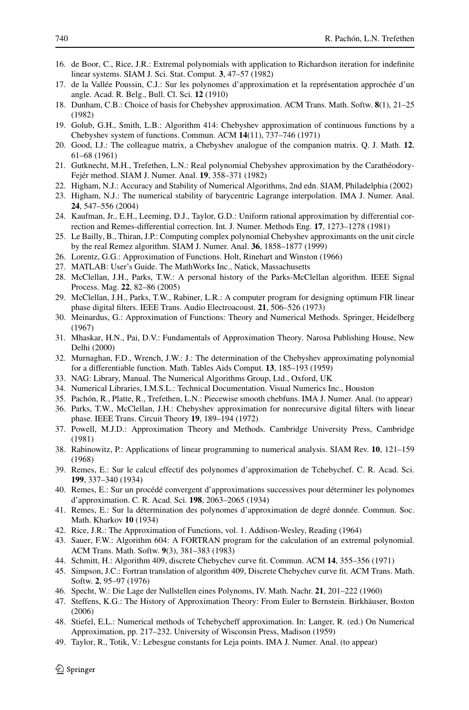- <span id="page-19-0"></span>16. de Boor, C., Rice, J.R.: Extremal polynomials with application to Richardson iteration for indefinite linear systems. SIAM J. Sci. Stat. Comput. **3**, 47–57 (1982)
- 17. de la Vallée Poussin, C.J.: Sur les polynomes d'approximation et la représentation approchée d'un angle. Acad. R. Belg., Bull. Cl. Sci. **12** (1910)
- 18. Dunham, C.B.: Choice of basis for Chebyshev approximation. ACM Trans. Math. Softw. **8**(1), 21–25 (1982)
- 19. Golub, G.H., Smith, L.B.: Algorithm 414: Chebyshev approximation of continuous functions by a Chebyshev system of functions. Commun. ACM **14**(11), 737–746 (1971)
- 20. Good, I.J.: The colleague matrix, a Chebyshev analogue of the companion matrix. Q. J. Math. **12**, 61–68 (1961)
- 21. Gutknecht, M.H., Trefethen, L.N.: Real polynomial Chebyshev approximation by the Carathéodory-Fejér method. SIAM J. Numer. Anal. **19**, 358–371 (1982)
- 22. Higham, N.J.: Accuracy and Stability of Numerical Algorithms, 2nd edn. SIAM, Philadelphia (2002)
- 23. Higham, N.J.: The numerical stability of barycentric Lagrange interpolation. IMA J. Numer. Anal. **24**, 547–556 (2004)
- 24. Kaufman, Jr., E.H., Leeming, D.J., Taylor, G.D.: Uniform rational approximation by differential correction and Remes-differential correction. Int. J. Numer. Methods Eng. **17**, 1273–1278 (1981)
- 25. Le Bailly, B., Thiran, J.P.: Computing complex polynomial Chebyshev approximants on the unit circle by the real Remez algorithm. SIAM J. Numer. Anal. **36**, 1858–1877 (1999)
- 26. Lorentz, G.G.: Approximation of Functions. Holt, Rinehart and Winston (1966)
- 27. MATLAB: User's Guide. The MathWorks Inc., Natick, Massachusetts
- 28. McClellan, J.H., Parks, T.W.: A personal history of the Parks-McClellan algorithm. IEEE Signal Process. Mag. **22**, 82–86 (2005)
- 29. McClellan, J.H., Parks, T.W., Rabiner, L.R.: A computer program for designing optimum FIR linear phase digital filters. IEEE Trans. Audio Electroacoust. **21**, 506–526 (1973)
- 30. Meinardus, G.: Approximation of Functions: Theory and Numerical Methods. Springer, Heidelberg (1967)
- 31. Mhaskar, H.N., Pai, D.V.: Fundamentals of Approximation Theory. Narosa Publishing House, New Delhi (2000)
- 32. Murnaghan, F.D., Wrench, J.W.: J.: The determination of the Chebyshev approximating polynomial for a differentiable function. Math. Tables Aids Comput. **13**, 185–193 (1959)
- 33. NAG: Library, Manual. The Numerical Algorithms Group, Ltd., Oxford, UK
- 34. Numerical Libraries, I.M.S.L.: Technical Documentation. Visual Numerics Inc., Houston
- 35. Pachón, R., Platte, R., Trefethen, L.N.: Piecewise smooth chebfuns. IMA J. Numer. Anal. (to appear)
- 36. Parks, T.W., McClellan, J.H.: Chebyshev approximation for nonrecursive digital filters with linear phase. IEEE Trans. Circuit Theory **19**, 189–194 (1972)
- 37. Powell, M.J.D.: Approximation Theory and Methods. Cambridge University Press, Cambridge (1981)
- 38. Rabinowitz, P.: Applications of linear programming to numerical analysis. SIAM Rev. **10**, 121–159 (1968)
- 39. Remes, E.: Sur le calcul effectif des polynomes d'approximation de Tchebychef. C. R. Acad. Sci. **199**, 337–340 (1934)
- 40. Remes, E.: Sur un procédé convergent d'approximations successives pour déterminer les polynomes d'approximation. C. R. Acad. Sci. **198**, 2063–2065 (1934)
- 41. Remes, E.: Sur la détermination des polynomes d'approximation de degré donnée. Commun. Soc. Math. Kharkov **10** (1934)
- 42. Rice, J.R.: The Approximation of Functions, vol. 1. Addison-Wesley, Reading (1964)
- 43. Sauer, F.W.: Algorithm 604: A FORTRAN program for the calculation of an extremal polynomial. ACM Trans. Math. Softw. **9**(3), 381–383 (1983)
- 44. Schmitt, H.: Algorithm 409, discrete Chebychev curve fit. Commun. ACM **14**, 355–356 (1971)
- 45. Simpson, J.C.: Fortran translation of algorithm 409, Discrete Chebychev curve fit. ACM Trans. Math. Softw. **2**, 95–97 (1976)
- 46. Specht, W.: Die Lage der Nullstellen eines Polynoms, IV. Math. Nachr. **21**, 201–222 (1960)
- 47. Steffens, K.G.: The History of Approximation Theory: From Euler to Bernstein. Birkhäuser, Boston (2006)
- 48. Stiefel, E.L.: Numerical methods of Tchebycheff approximation. In: Langer, R. (ed.) On Numerical Approximation, pp. 217–232. University of Wisconsin Press, Madison (1959)
- 49. Taylor, R., Totik, V.: Lebesgue constants for Leja points. IMA J. Numer. Anal. (to appear)